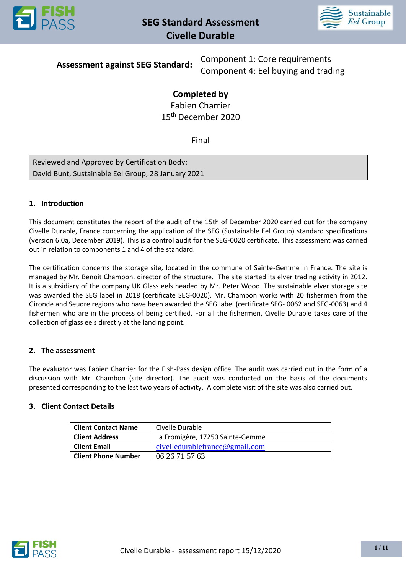



**Assessment against SEG Standard:**

Component 1: Core requirements Component 4: Eel buying and trading

# **Completed by**

Fabien Charrier 15th December 2020

Final

Reviewed and Approved by Certification Body: David Bunt, Sustainable Eel Group, 28 January 2021

## **1. Introduction**

This document constitutes the report of the audit of the 15th of December 2020 carried out for the company Civelle Durable, France concerning the application of the SEG (Sustainable Eel Group) standard specifications (version 6.0a, December 2019). This is a control audit for the SEG-0020 certificate. This assessment was carried out in relation to components 1 and 4 of the standard.

The certification concerns the storage site, located in the commune of Sainte-Gemme in France. The site is managed by Mr. Benoit Chambon, director of the structure. The site started its elver trading activity in 2012. It is a subsidiary of the company UK Glass eels headed by Mr. Peter Wood. The sustainable elver storage site was awarded the SEG label in 2018 (certificate SEG-0020). Mr. Chambon works with 20 fishermen from the Gironde and Seudre regions who have been awarded the SEG label (certificate SEG- 0062 and SEG-0063) and 4 fishermen who are in the process of being certified. For all the fishermen, Civelle Durable takes care of the collection of glass eels directly at the landing point.

## **2. The assessment**

The evaluator was Fabien Charrier for the Fish-Pass design office. The audit was carried out in the form of a discussion with Mr. Chambon (site director). The audit was conducted on the basis of the documents presented corresponding to the last two years of activity. A complete visit of the site was also carried out.

## **3. Client Contact Details**

| <b>Client Contact Name</b> | Civelle Durable                     |
|----------------------------|-------------------------------------|
| <b>Client Address</b>      | La Fromigère, 17250 Sainte-Gemme    |
| <b>Client Email</b>        | civelledurable france $@$ gmail.com |
| <b>Client Phone Number</b> | 06 26 71 57 63                      |

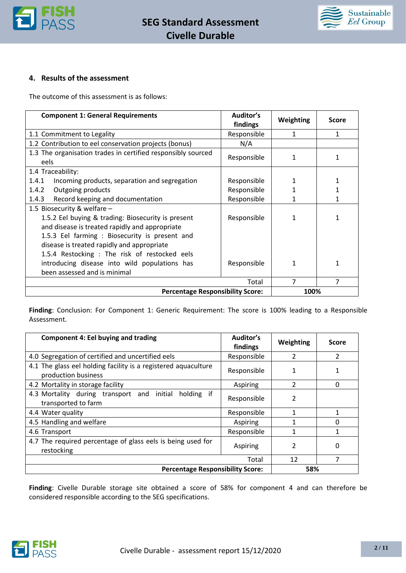



## **4. Results of the assessment**

The outcome of this assessment is as follows:

| <b>Component 1: General Requirements</b>                                                                                                                                                                                                                                                                                                                                  | Auditor's<br>findings | Weighting | <b>Score</b> |
|---------------------------------------------------------------------------------------------------------------------------------------------------------------------------------------------------------------------------------------------------------------------------------------------------------------------------------------------------------------------------|-----------------------|-----------|--------------|
| 1.1 Commitment to Legality                                                                                                                                                                                                                                                                                                                                                | Responsible           | 1         | 1            |
| 1.2 Contribution to eel conservation projects (bonus)                                                                                                                                                                                                                                                                                                                     | N/A                   |           |              |
| 1.3 The organisation trades in certified responsibly sourced<br>eels                                                                                                                                                                                                                                                                                                      | Responsible           |           |              |
| 1.4 Traceability:                                                                                                                                                                                                                                                                                                                                                         |                       |           |              |
| 1.4.1<br>Incoming products, separation and segregation                                                                                                                                                                                                                                                                                                                    | Responsible           |           |              |
| 1.4.2<br>Outgoing products                                                                                                                                                                                                                                                                                                                                                | Responsible           |           |              |
| Record keeping and documentation<br>1.4.3                                                                                                                                                                                                                                                                                                                                 | Responsible           |           |              |
| 1.5 Biosecurity & welfare -                                                                                                                                                                                                                                                                                                                                               |                       |           |              |
| 1.5.2 Eel buying & trading: Biosecurity is present<br>Responsible<br>and disease is treated rapidly and appropriate<br>1.5.3 Eel farming : Biosecurity is present and<br>disease is treated rapidly and appropriate<br>1.5.4 Restocking : The risk of restocked eels<br>introducing disease into wild populations has<br>Responsible<br>1<br>been assessed and is minimal |                       |           |              |
|                                                                                                                                                                                                                                                                                                                                                                           | Total                 | 7         | 7            |
| <b>Percentage Responsibility Score:</b>                                                                                                                                                                                                                                                                                                                                   |                       | 100%      |              |

**Finding**: Conclusion: For Component 1: Generic Requirement: The score is 100% leading to a Responsible Assessment.

| <b>Component 4: Eel buying and trading</b>                                            | Auditor's<br>findings | Weighting                | <b>Score</b>  |
|---------------------------------------------------------------------------------------|-----------------------|--------------------------|---------------|
| 4.0 Segregation of certified and uncertified eels                                     | Responsible           | 2                        | $\mathcal{P}$ |
| 4.1 The glass eel holding facility is a registered aquaculture<br>production business | Responsible           |                          |               |
| 4.2 Mortality in storage facility                                                     | Aspiring              | $\overline{\mathcal{L}}$ | $\Omega$      |
| 4.3 Mortality during transport and initial holding if<br>transported to farm          | Responsible           | 2                        |               |
| 4.4 Water quality                                                                     | Responsible           | 1                        | 1             |
| 4.5 Handling and welfare                                                              | Aspiring              | 1                        | $\Omega$      |
| 4.6 Transport                                                                         | Responsible           | 1                        | 1             |
| 4.7 The required percentage of glass eels is being used for<br>restocking             | Aspiring              | 2                        | 0             |
|                                                                                       | Total                 | 12                       | 7             |
| <b>Percentage Responsibility Score:</b>                                               |                       | 58%                      |               |

**Finding**: Civelle Durable storage site obtained a score of 58% for component 4 and can therefore be considered responsible according to the SEG specifications.

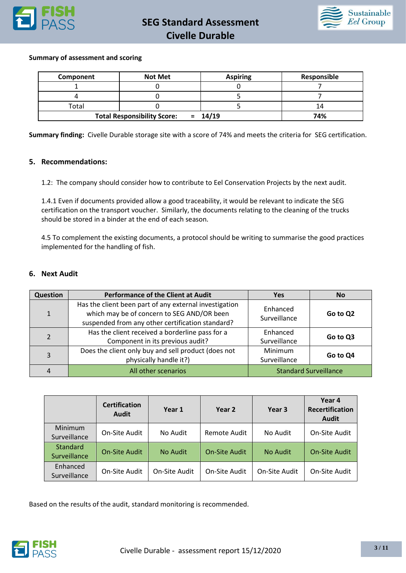



#### **Summary of assessment and scoring**

| Component | <b>Not Met</b>                     | <b>Aspiring</b> | <b>Responsible</b> |
|-----------|------------------------------------|-----------------|--------------------|
|           |                                    |                 |                    |
|           |                                    |                 |                    |
| Total     |                                    |                 | 14                 |
|           | <b>Total Responsibility Score:</b> | $= 14/19$       | 74%                |

**Summary finding:** Civelle Durable storage site with a score of 74% and meets the criteria for SEG certification.

#### **5. Recommendations:**

1.2: The company should consider how to contribute to Eel Conservation Projects by the next audit.

1.4.1 Even if documents provided allow a good traceability, it would be relevant to indicate the SEG certification on the transport voucher. Similarly, the documents relating to the cleaning of the trucks should be stored in a binder at the end of each season.

4.5 To complement the existing documents, a protocol should be writing to summarise the good practices implemented for the handling of fish.

## **6. Next Audit**

| Question       | <b>Performance of the Client at Audit</b>                                                                                                                | <b>Yes</b>               | <b>No</b>                    |
|----------------|----------------------------------------------------------------------------------------------------------------------------------------------------------|--------------------------|------------------------------|
| $\mathbf{1}$   | Has the client been part of any external investigation<br>which may be of concern to SEG AND/OR been<br>suspended from any other certification standard? | Enhanced<br>Surveillance | Go to Q2                     |
| $\overline{2}$ | Has the client received a borderline pass for a<br>Component in its previous audit?                                                                      | Enhanced<br>Surveillance | Go to Q3                     |
| 3              | Does the client only buy and sell product (does not<br>physically handle it?)                                                                            | Minimum<br>Surveillance  | Go to Q4                     |
| 4              | All other scenarios                                                                                                                                      |                          | <b>Standard Surveillance</b> |

|                          | <b>Certification</b><br><b>Audit</b> | Year 1        | Year 2               | Year 3        | Year 4<br><b>Recertification</b><br><b>Audit</b> |
|--------------------------|--------------------------------------|---------------|----------------------|---------------|--------------------------------------------------|
| Minimum<br>Surveillance  | On-Site Audit                        | No Audit      | Remote Audit         | No Audit      | On-Site Audit                                    |
| Standard<br>Surveillance | <b>On-Site Audit</b>                 | No Audit      | <b>On-Site Audit</b> | No Audit      | <b>On-Site Audit</b>                             |
| Enhanced<br>Surveillance | On-Site Audit                        | On-Site Audit | On-Site Audit        | On-Site Audit | On-Site Audit                                    |

Based on the results of the audit, standard monitoring is recommended.

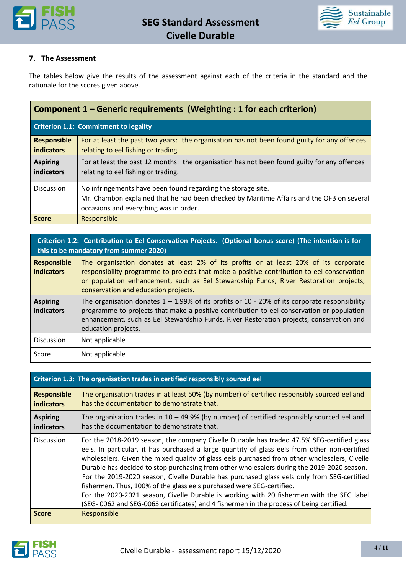



### **7. The Assessment**

The tables below give the results of the assessment against each of the criteria in the standard and the rationale for the scores given above.

| Component 1 – Generic requirements (Weighting : 1 for each criterion) |                                                                                                                                                                                                     |  |
|-----------------------------------------------------------------------|-----------------------------------------------------------------------------------------------------------------------------------------------------------------------------------------------------|--|
|                                                                       | <b>Criterion 1.1: Commitment to legality</b>                                                                                                                                                        |  |
| <b>Responsible</b><br><b>indicators</b>                               | For at least the past two years: the organisation has not been found guilty for any offences<br>relating to eel fishing or trading.                                                                 |  |
| <b>Aspiring</b><br>indicators                                         | For at least the past 12 months: the organisation has not been found guilty for any offences<br>relating to eel fishing or trading.                                                                 |  |
| <b>Discussion</b>                                                     | No infringements have been found regarding the storage site.<br>Mr. Chambon explained that he had been checked by Maritime Affairs and the OFB on several<br>occasions and everything was in order. |  |
| <b>Score</b>                                                          | Responsible                                                                                                                                                                                         |  |

## **Criterion 1.2: Contribution to Eel Conservation Projects. (Optional bonus score) (The intention is for this to be mandatory from summer 2020)**

| <b>Responsible</b><br><b>indicators</b> | The organisation donates at least 2% of its profits or at least 20% of its corporate<br>responsibility programme to projects that make a positive contribution to eel conservation<br>or population enhancement, such as Eel Stewardship Funds, River Restoration projects,<br>conservation and education projects. |
|-----------------------------------------|---------------------------------------------------------------------------------------------------------------------------------------------------------------------------------------------------------------------------------------------------------------------------------------------------------------------|
| <b>Aspiring</b><br>indicators           | The organisation donates $1 - 1.99\%$ of its profits or 10 - 20% of its corporate responsibility<br>programme to projects that make a positive contribution to eel conservation or population<br>enhancement, such as Eel Stewardship Funds, River Restoration projects, conservation and<br>education projects.    |
| <b>Discussion</b>                       | Not applicable                                                                                                                                                                                                                                                                                                      |
| Score                                   | Not applicable                                                                                                                                                                                                                                                                                                      |

|                                         | Criterion 1.3: The organisation trades in certified responsibly sourced eel                                                                                                                                                                                                                                                                                                                                                                                                                                                                                                                                                                                                                                                                              |
|-----------------------------------------|----------------------------------------------------------------------------------------------------------------------------------------------------------------------------------------------------------------------------------------------------------------------------------------------------------------------------------------------------------------------------------------------------------------------------------------------------------------------------------------------------------------------------------------------------------------------------------------------------------------------------------------------------------------------------------------------------------------------------------------------------------|
| <b>Responsible</b><br><b>indicators</b> | The organisation trades in at least 50% (by number) of certified responsibly sourced eel and<br>has the documentation to demonstrate that.                                                                                                                                                                                                                                                                                                                                                                                                                                                                                                                                                                                                               |
| <b>Aspiring</b><br><b>indicators</b>    | The organisation trades in $10 - 49.9\%$ (by number) of certified responsibly sourced eel and<br>has the documentation to demonstrate that.                                                                                                                                                                                                                                                                                                                                                                                                                                                                                                                                                                                                              |
| <b>Discussion</b>                       | For the 2018-2019 season, the company Civelle Durable has traded 47.5% SEG-certified glass<br>eels. In particular, it has purchased a large quantity of glass eels from other non-certified<br>wholesalers. Given the mixed quality of glass eels purchased from other wholesalers, Civelle<br>Durable has decided to stop purchasing from other wholesalers during the 2019-2020 season.<br>For the 2019-2020 season, Civelle Durable has purchased glass eels only from SEG-certified<br>fishermen. Thus, 100% of the glass eels purchased were SEG-certified.<br>For the 2020-2021 season, Civelle Durable is working with 20 fishermen with the SEG label<br>(SEG-0062 and SEG-0063 certificates) and 4 fishermen in the process of being certified. |
| <b>Score</b>                            | Responsible                                                                                                                                                                                                                                                                                                                                                                                                                                                                                                                                                                                                                                                                                                                                              |

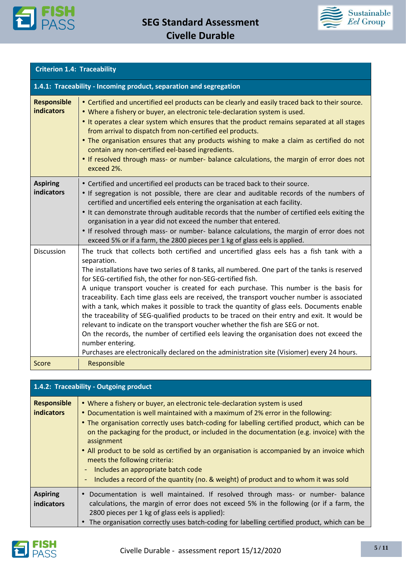



| <b>Criterion 1.4: Traceability</b>      |                                                                                                                                                                                                                                                                                                                                                                                                                                                                                                                                                                                                                                                                                                                                                                                                                                                                                                                                                                   |  |
|-----------------------------------------|-------------------------------------------------------------------------------------------------------------------------------------------------------------------------------------------------------------------------------------------------------------------------------------------------------------------------------------------------------------------------------------------------------------------------------------------------------------------------------------------------------------------------------------------------------------------------------------------------------------------------------------------------------------------------------------------------------------------------------------------------------------------------------------------------------------------------------------------------------------------------------------------------------------------------------------------------------------------|--|
|                                         | 1.4.1: Traceability - Incoming product, separation and segregation                                                                                                                                                                                                                                                                                                                                                                                                                                                                                                                                                                                                                                                                                                                                                                                                                                                                                                |  |
| <b>Responsible</b><br><b>indicators</b> | • Certified and uncertified eel products can be clearly and easily traced back to their source.<br>. Where a fishery or buyer, an electronic tele-declaration system is used.<br>. It operates a clear system which ensures that the product remains separated at all stages<br>from arrival to dispatch from non-certified eel products.<br>. The organisation ensures that any products wishing to make a claim as certified do not<br>contain any non-certified eel-based ingredients.<br>• If resolved through mass- or number- balance calculations, the margin of error does not<br>exceed 2%.                                                                                                                                                                                                                                                                                                                                                              |  |
| <b>Aspiring</b><br><b>indicators</b>    | • Certified and uncertified eel products can be traced back to their source.<br>• If segregation is not possible, there are clear and auditable records of the numbers of<br>certified and uncertified eels entering the organisation at each facility.<br>. It can demonstrate through auditable records that the number of certified eels exiting the<br>organisation in a year did not exceed the number that entered.<br>• If resolved through mass- or number- balance calculations, the margin of error does not<br>exceed 5% or if a farm, the 2800 pieces per 1 kg of glass eels is applied.                                                                                                                                                                                                                                                                                                                                                              |  |
| Discussion                              | The truck that collects both certified and uncertified glass eels has a fish tank with a<br>separation.<br>The installations have two series of 8 tanks, all numbered. One part of the tanks is reserved<br>for SEG-certified fish, the other for non-SEG-certified fish.<br>A unique transport voucher is created for each purchase. This number is the basis for<br>traceability. Each time glass eels are received, the transport voucher number is associated<br>with a tank, which makes it possible to track the quantity of glass eels. Documents enable<br>the traceability of SEG-qualified products to be traced on their entry and exit. It would be<br>relevant to indicate on the transport voucher whether the fish are SEG or not.<br>On the records, the number of certified eels leaving the organisation does not exceed the<br>number entering.<br>Purchases are electronically declared on the administration site (Visiomer) every 24 hours. |  |
| Score                                   | Responsible                                                                                                                                                                                                                                                                                                                                                                                                                                                                                                                                                                                                                                                                                                                                                                                                                                                                                                                                                       |  |

|                                         | 1.4.2: Traceability - Outgoing product                                                                                                                                                                                                                                                                                                                                                                                                                                                                                                                                                                                                |
|-----------------------------------------|---------------------------------------------------------------------------------------------------------------------------------------------------------------------------------------------------------------------------------------------------------------------------------------------------------------------------------------------------------------------------------------------------------------------------------------------------------------------------------------------------------------------------------------------------------------------------------------------------------------------------------------|
| <b>Responsible</b><br><b>indicators</b> | • Where a fishery or buyer, an electronic tele-declaration system is used<br>• Documentation is well maintained with a maximum of 2% error in the following:<br>• The organisation correctly uses batch-coding for labelling certified product, which can be<br>on the packaging for the product, or included in the documentation (e.g. invoice) with the<br>assignment<br>• All product to be sold as certified by an organisation is accompanied by an invoice which<br>meets the following criteria:<br>Includes an appropriate batch code<br>Includes a record of the quantity (no. & weight) of product and to whom it was sold |
| <b>Aspiring</b><br><b>indicators</b>    | Documentation is well maintained. If resolved through mass- or number- balance<br>$\bullet$<br>calculations, the margin of error does not exceed 5% in the following (or if a farm, the<br>2800 pieces per 1 kg of glass eels is applied):<br>The organisation correctly uses batch-coding for labelling certified product, which can be                                                                                                                                                                                                                                                                                              |

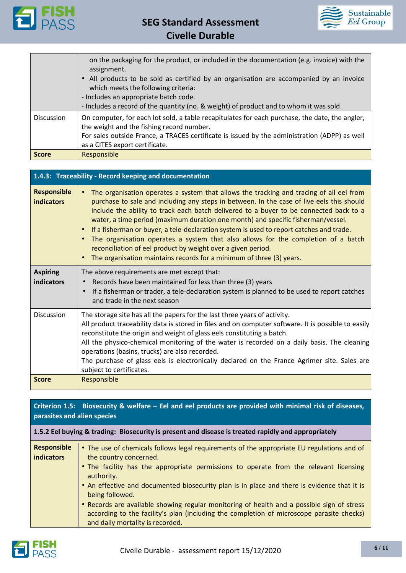



|                   | on the packaging for the product, or included in the documentation (e.g. invoice) with the<br>assignment.<br>All products to be sold as certified by an organisation are accompanied by an invoice<br>which meets the following criteria:<br>- Includes an appropriate batch code. |
|-------------------|------------------------------------------------------------------------------------------------------------------------------------------------------------------------------------------------------------------------------------------------------------------------------------|
|                   | - Includes a record of the quantity (no. & weight) of product and to whom it was sold.                                                                                                                                                                                             |
| <b>Discussion</b> | On computer, for each lot sold, a table recapitulates for each purchase, the date, the angler,<br>the weight and the fishing record number.                                                                                                                                        |
|                   | For sales outside France, a TRACES certificate is issued by the administration (ADPP) as well                                                                                                                                                                                      |
|                   | as a CITES export certificate.                                                                                                                                                                                                                                                     |
| <b>Score</b>      | Responsible                                                                                                                                                                                                                                                                        |

| 1.4.3: Traceability - Record keeping and documentation |                                                                                                                                                                                                                                                                                                                                                                                                                                                                                                                                                                                                                                                                                                                                   |  |
|--------------------------------------------------------|-----------------------------------------------------------------------------------------------------------------------------------------------------------------------------------------------------------------------------------------------------------------------------------------------------------------------------------------------------------------------------------------------------------------------------------------------------------------------------------------------------------------------------------------------------------------------------------------------------------------------------------------------------------------------------------------------------------------------------------|--|
| <b>Responsible</b><br><b>indicators</b>                | The organisation operates a system that allows the tracking and tracing of all eel from<br>$\bullet$<br>purchase to sale and including any steps in between. In the case of live eels this should<br>include the ability to track each batch delivered to a buyer to be connected back to a<br>water, a time period (maximum duration one month) and specific fisherman/vessel.<br>If a fisherman or buyer, a tele-declaration system is used to report catches and trade.<br>$\bullet$<br>The organisation operates a system that also allows for the completion of a batch<br>$\bullet$<br>reconciliation of eel product by weight over a given period.<br>The organisation maintains records for a minimum of three (3) years. |  |
| <b>Aspiring</b><br>indicators                          | The above requirements are met except that:<br>Records have been maintained for less than three (3) years<br>If a fisherman or trader, a tele-declaration system is planned to be used to report catches<br>and trade in the next season                                                                                                                                                                                                                                                                                                                                                                                                                                                                                          |  |
| Discussion                                             | The storage site has all the papers for the last three years of activity.<br>All product traceability data is stored in files and on computer software. It is possible to easily<br>reconstitute the origin and weight of glass eels constituting a batch.<br>All the physico-chemical monitoring of the water is recorded on a daily basis. The cleaning<br>operations (basins, trucks) are also recorded.<br>The purchase of glass eels is electronically declared on the France Agrimer site. Sales are<br>subject to certificates.                                                                                                                                                                                            |  |
| <b>Score</b>                                           | Responsible                                                                                                                                                                                                                                                                                                                                                                                                                                                                                                                                                                                                                                                                                                                       |  |

## **Criterion 1.5: Biosecurity & welfare – Eel and eel products are provided with minimal risk of diseases, parasites and alien species**

### **1.5.2 Eel buying & trading: Biosecurity is present and disease is treated rapidly and appropriately**

| <b>Responsible</b><br><b>indicators</b> | • The use of chemicals follows legal requirements of the appropriate EU regulations and of<br>the country concerned.                                                                                                        |
|-----------------------------------------|-----------------------------------------------------------------------------------------------------------------------------------------------------------------------------------------------------------------------------|
|                                         | • The facility has the appropriate permissions to operate from the relevant licensing<br>authority.                                                                                                                         |
|                                         | . An effective and documented biosecurity plan is in place and there is evidence that it is<br>being followed.                                                                                                              |
|                                         | . Records are available showing regular monitoring of health and a possible sign of stress<br>according to the facility's plan (including the completion of microscope parasite checks)<br>and daily mortality is recorded. |

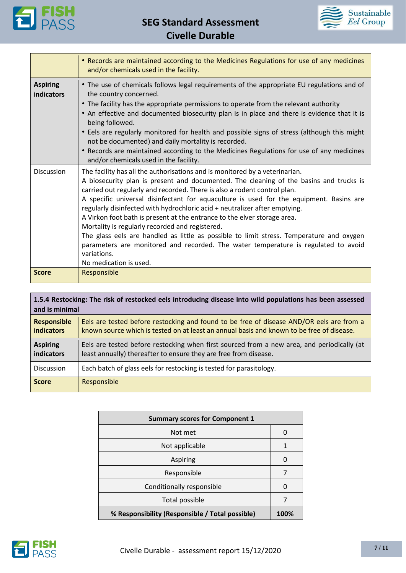

**SEG Standard Assessment Civelle Durable**



 $\overline{\phantom{a}}$ 

|                                      | • Records are maintained according to the Medicines Regulations for use of any medicines<br>and/or chemicals used in the facility.                                                                                                                                                                                                                                                                                                                                                                                                                                                                                                                                                                                                                                                   |
|--------------------------------------|--------------------------------------------------------------------------------------------------------------------------------------------------------------------------------------------------------------------------------------------------------------------------------------------------------------------------------------------------------------------------------------------------------------------------------------------------------------------------------------------------------------------------------------------------------------------------------------------------------------------------------------------------------------------------------------------------------------------------------------------------------------------------------------|
| <b>Aspiring</b><br><b>indicators</b> | • The use of chemicals follows legal requirements of the appropriate EU regulations and of<br>the country concerned.<br>• The facility has the appropriate permissions to operate from the relevant authority<br>• An effective and documented biosecurity plan is in place and there is evidence that it is<br>being followed.<br>• Eels are regularly monitored for health and possible signs of stress (although this might<br>not be documented) and daily mortality is recorded.<br>• Records are maintained according to the Medicines Regulations for use of any medicines<br>and/or chemicals used in the facility.                                                                                                                                                          |
| <b>Discussion</b>                    | The facility has all the authorisations and is monitored by a veterinarian.<br>A biosecurity plan is present and documented. The cleaning of the basins and trucks is<br>carried out regularly and recorded. There is also a rodent control plan.<br>A specific universal disinfectant for aquaculture is used for the equipment. Basins are<br>regularly disinfected with hydrochloric acid + neutralizer after emptying.<br>A Virkon foot bath is present at the entrance to the elver storage area.<br>Mortality is regularly recorded and registered.<br>The glass eels are handled as little as possible to limit stress. Temperature and oxygen<br>parameters are monitored and recorded. The water temperature is regulated to avoid<br>variations.<br>No medication is used. |
| <b>Score</b>                         | Responsible                                                                                                                                                                                                                                                                                                                                                                                                                                                                                                                                                                                                                                                                                                                                                                          |

| 1.5.4 Restocking: The risk of restocked eels introducing disease into wild populations has been assessed<br>and is minimal |                                                                                                                                                                                       |
|----------------------------------------------------------------------------------------------------------------------------|---------------------------------------------------------------------------------------------------------------------------------------------------------------------------------------|
| <b>Responsible</b><br><b>indicators</b>                                                                                    | Eels are tested before restocking and found to be free of disease AND/OR eels are from a<br>known source which is tested on at least an annual basis and known to be free of disease. |
| <b>Aspiring</b><br><b>indicators</b>                                                                                       | Eels are tested before restocking when first sourced from a new area, and periodically (at<br>least annually) thereafter to ensure they are free from disease.                        |
| <b>Discussion</b>                                                                                                          | Each batch of glass eels for restocking is tested for parasitology.                                                                                                                   |
| <b>Score</b>                                                                                                               | Responsible                                                                                                                                                                           |

| <b>Summary scores for Component 1</b>           |      |
|-------------------------------------------------|------|
| Not met                                         | O    |
| Not applicable                                  |      |
| Aspiring                                        | 0    |
| Responsible                                     |      |
| Conditionally responsible                       | U    |
| Total possible                                  | 7    |
| % Responsibility (Responsible / Total possible) | 100% |

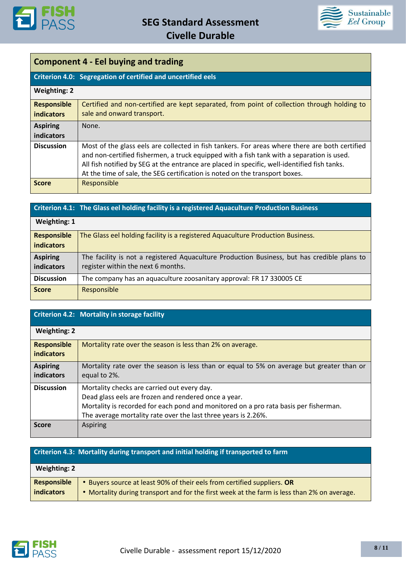



## **Component 4 - Eel buying and trading**

|                                         | Criterion 4.0: Segregation of certified and uncertified eels                                                                                                                                                                                                                                                                                                               |
|-----------------------------------------|----------------------------------------------------------------------------------------------------------------------------------------------------------------------------------------------------------------------------------------------------------------------------------------------------------------------------------------------------------------------------|
| <b>Weighting: 2</b>                     |                                                                                                                                                                                                                                                                                                                                                                            |
| <b>Responsible</b><br><b>indicators</b> | Certified and non-certified are kept separated, from point of collection through holding to<br>sale and onward transport.                                                                                                                                                                                                                                                  |
| <b>Aspiring</b><br>indicators           | None.                                                                                                                                                                                                                                                                                                                                                                      |
| <b>Discussion</b>                       | Most of the glass eels are collected in fish tankers. For areas where there are both certified<br>and non-certified fishermen, a truck equipped with a fish tank with a separation is used.<br>All fish notified by SEG at the entrance are placed in specific, well-identified fish tanks.<br>At the time of sale, the SEG certification is noted on the transport boxes. |
| <b>Score</b>                            | Responsible                                                                                                                                                                                                                                                                                                                                                                |

## **Criterion 4.1: The Glass eel holding facility is a registered Aquaculture Production Business**

| <b>Weighting: 1</b>                                                                         |  |
|---------------------------------------------------------------------------------------------|--|
| The Glass eel holding facility is a registered Aquaculture Production Business.             |  |
|                                                                                             |  |
| The facility is not a registered Aquaculture Production Business, but has credible plans to |  |
| register within the next 6 months.                                                          |  |
| The company has an aquaculture zoosanitary approval: FR 17 330005 CE                        |  |
| Responsible                                                                                 |  |
|                                                                                             |  |

### **Criterion 4.2: Mortality in storage facility**

| <b>Weighting: 2</b>                     |                                                                                                                                                                                                                                                               |
|-----------------------------------------|---------------------------------------------------------------------------------------------------------------------------------------------------------------------------------------------------------------------------------------------------------------|
| <b>Responsible</b><br><b>indicators</b> | Mortality rate over the season is less than 2% on average.                                                                                                                                                                                                    |
| <b>Aspiring</b><br>indicators           | Mortality rate over the season is less than or equal to 5% on average but greater than or<br>equal to 2%.                                                                                                                                                     |
| <b>Discussion</b>                       | Mortality checks are carried out every day.<br>Dead glass eels are frozen and rendered once a year.<br>Mortality is recorded for each pond and monitored on a pro rata basis per fisherman.<br>The average mortality rate over the last three years is 2.26%. |
| <b>Score</b>                            | Aspiring                                                                                                                                                                                                                                                      |

|                                         | Criterion 4.3: Mortality during transport and initial holding if transported to farm                                                                                 |
|-----------------------------------------|----------------------------------------------------------------------------------------------------------------------------------------------------------------------|
| <b>Weighting: 2</b>                     |                                                                                                                                                                      |
| <b>Responsible</b><br><b>indicators</b> | Buyers source at least 90% of their eels from certified suppliers. OR<br>• Mortality during transport and for the first week at the farm is less than 2% on average. |

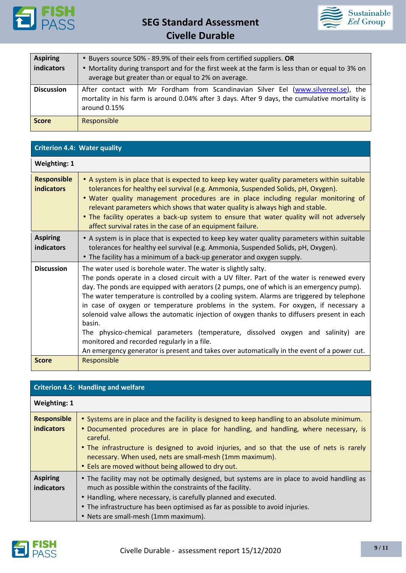



| <b>Aspiring</b><br>indicators | • Buyers source 50% - 89.9% of their eels from certified suppliers. OR<br>• Mortality during transport and for the first week at the farm is less than or equal to 3% on<br>average but greater than or equal to 2% on average. |
|-------------------------------|---------------------------------------------------------------------------------------------------------------------------------------------------------------------------------------------------------------------------------|
| <b>Discussion</b>             | After contact with Mr Fordham from Scandinavian Silver Eel (www.silvereel.se), the<br>mortality in his farm is around 0.04% after 3 days. After 9 days, the cumulative mortality is<br>around 0.15%                             |
| <b>Score</b>                  | Responsible                                                                                                                                                                                                                     |

| <b>Criterion 4.4: Water quality</b>     |                                                                                                                                                                                                                                                                                                                                                                                                                                                                                                                                                                                                                                                                                                                                                                                         |  |
|-----------------------------------------|-----------------------------------------------------------------------------------------------------------------------------------------------------------------------------------------------------------------------------------------------------------------------------------------------------------------------------------------------------------------------------------------------------------------------------------------------------------------------------------------------------------------------------------------------------------------------------------------------------------------------------------------------------------------------------------------------------------------------------------------------------------------------------------------|--|
| <b>Weighting: 1</b>                     |                                                                                                                                                                                                                                                                                                                                                                                                                                                                                                                                                                                                                                                                                                                                                                                         |  |
| <b>Responsible</b><br><b>indicators</b> | • A system is in place that is expected to keep key water quality parameters within suitable<br>tolerances for healthy eel survival (e.g. Ammonia, Suspended Solids, pH, Oxygen).<br>. Water quality management procedures are in place including regular monitoring of<br>relevant parameters which shows that water quality is always high and stable.<br>. The facility operates a back-up system to ensure that water quality will not adversely<br>affect survival rates in the case of an equipment failure.                                                                                                                                                                                                                                                                      |  |
| <b>Aspiring</b><br>indicators           | • A system is in place that is expected to keep key water quality parameters within suitable<br>tolerances for healthy eel survival (e.g. Ammonia, Suspended Solids, pH, Oxygen).<br>• The facility has a minimum of a back-up generator and oxygen supply.                                                                                                                                                                                                                                                                                                                                                                                                                                                                                                                             |  |
| <b>Discussion</b>                       | The water used is borehole water. The water is slightly salty.<br>The ponds operate in a closed circuit with a UV filter. Part of the water is renewed every<br>day. The ponds are equipped with aerators (2 pumps, one of which is an emergency pump).<br>The water temperature is controlled by a cooling system. Alarms are triggered by telephone<br>in case of oxygen or temperature problems in the system. For oxygen, if necessary a<br>solenoid valve allows the automatic injection of oxygen thanks to diffusers present in each<br>basin.<br>The physico-chemical parameters (temperature, dissolved oxygen and salinity) are<br>monitored and recorded regularly in a file.<br>An emergency generator is present and takes over automatically in the event of a power cut. |  |
| <b>Score</b>                            | Responsible                                                                                                                                                                                                                                                                                                                                                                                                                                                                                                                                                                                                                                                                                                                                                                             |  |

| <b>Criterion 4.5: Handling and welfare</b> |                                                                                                                                                                                                                                                                                                                                                                                                                 |
|--------------------------------------------|-----------------------------------------------------------------------------------------------------------------------------------------------------------------------------------------------------------------------------------------------------------------------------------------------------------------------------------------------------------------------------------------------------------------|
| <b>Weighting: 1</b>                        |                                                                                                                                                                                                                                                                                                                                                                                                                 |
| <b>Responsible</b><br><b>indicators</b>    | • Systems are in place and the facility is designed to keep handling to an absolute minimum.<br>• Documented procedures are in place for handling, and handling, where necessary, is<br>careful.<br>• The infrastructure is designed to avoid injuries, and so that the use of nets is rarely<br>necessary. When used, nets are small-mesh (1mm maximum).<br>• Eels are moved without being allowed to dry out. |
| <b>Aspiring</b><br><b>indicators</b>       | • The facility may not be optimally designed, but systems are in place to avoid handling as<br>much as possible within the constraints of the facility.<br>• Handling, where necessary, is carefully planned and executed.<br>• The infrastructure has been optimised as far as possible to avoid injuries.<br>• Nets are small-mesh (1mm maximum).                                                             |

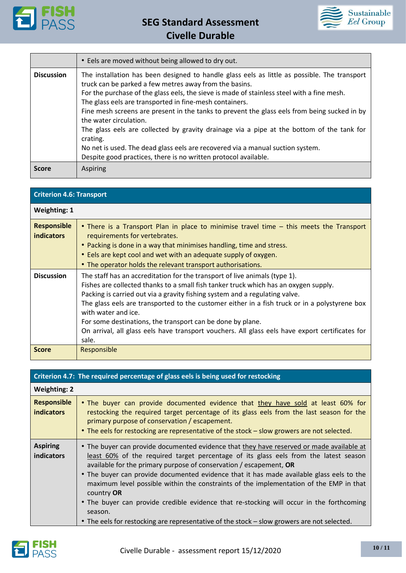



|                   | • Eels are moved without being allowed to dry out.                                                                                                                                                                                                                                                                                                                                                                                                                                                                                                                                                                                                                                                      |
|-------------------|---------------------------------------------------------------------------------------------------------------------------------------------------------------------------------------------------------------------------------------------------------------------------------------------------------------------------------------------------------------------------------------------------------------------------------------------------------------------------------------------------------------------------------------------------------------------------------------------------------------------------------------------------------------------------------------------------------|
| <b>Discussion</b> | The installation has been designed to handle glass eels as little as possible. The transport<br>truck can be parked a few metres away from the basins.<br>For the purchase of the glass eels, the sieve is made of stainless steel with a fine mesh.<br>The glass eels are transported in fine-mesh containers.<br>Fine mesh screens are present in the tanks to prevent the glass eels from being sucked in by<br>the water circulation.<br>The glass eels are collected by gravity drainage via a pipe at the bottom of the tank for<br>crating.<br>No net is used. The dead glass eels are recovered via a manual suction system.<br>Despite good practices, there is no written protocol available. |
| <b>Score</b>      | <b>Aspiring</b>                                                                                                                                                                                                                                                                                                                                                                                                                                                                                                                                                                                                                                                                                         |

| <b>Criterion 4.6: Transport</b>         |                                                                                                                                                                                                                                                                                                                                                                                                                                                                                                                                                     |  |  |
|-----------------------------------------|-----------------------------------------------------------------------------------------------------------------------------------------------------------------------------------------------------------------------------------------------------------------------------------------------------------------------------------------------------------------------------------------------------------------------------------------------------------------------------------------------------------------------------------------------------|--|--|
| <b>Weighting: 1</b>                     |                                                                                                                                                                                                                                                                                                                                                                                                                                                                                                                                                     |  |  |
| <b>Responsible</b><br><b>indicators</b> | • There is a Transport Plan in place to minimise travel time – this meets the Transport<br>requirements for vertebrates.<br>• Packing is done in a way that minimises handling, time and stress.<br>• Eels are kept cool and wet with an adequate supply of oxygen.<br>• The operator holds the relevant transport authorisations.                                                                                                                                                                                                                  |  |  |
| <b>Discussion</b>                       | The staff has an accreditation for the transport of live animals (type 1).<br>Fishes are collected thanks to a small fish tanker truck which has an oxygen supply.<br>Packing is carried out via a gravity fishing system and a regulating valve.<br>The glass eels are transported to the customer either in a fish truck or in a polystyrene box<br>with water and ice.<br>For some destinations, the transport can be done by plane.<br>On arrival, all glass eels have transport vouchers. All glass eels have export certificates for<br>sale. |  |  |
| <b>Score</b>                            | Responsible                                                                                                                                                                                                                                                                                                                                                                                                                                                                                                                                         |  |  |

| Criterion 4.7: The required percentage of glass eels is being used for restocking |                                                                                                                                                                                                                                                                                                                                                                                                                                                                                                                                                                                                                                                                   |  |  |  |
|-----------------------------------------------------------------------------------|-------------------------------------------------------------------------------------------------------------------------------------------------------------------------------------------------------------------------------------------------------------------------------------------------------------------------------------------------------------------------------------------------------------------------------------------------------------------------------------------------------------------------------------------------------------------------------------------------------------------------------------------------------------------|--|--|--|
| <b>Weighting: 2</b>                                                               |                                                                                                                                                                                                                                                                                                                                                                                                                                                                                                                                                                                                                                                                   |  |  |  |
| <b>Responsible</b><br><b>indicators</b>                                           | • The buyer can provide documented evidence that they have sold at least 60% for<br>restocking the required target percentage of its glass eels from the last season for the<br>primary purpose of conservation / escapement.<br>• The eels for restocking are representative of the stock – slow growers are not selected.                                                                                                                                                                                                                                                                                                                                       |  |  |  |
| <b>Aspiring</b><br><b>indicators</b>                                              | • The buyer can provide documented evidence that they have reserved or made available at<br>least 60% of the required target percentage of its glass eels from the latest season<br>available for the primary purpose of conservation / escapement, $OR$<br>• The buyer can provide documented evidence that it has made available glass eels to the<br>maximum level possible within the constraints of the implementation of the EMP in that<br>country OR<br>• The buyer can provide credible evidence that re-stocking will occur in the forthcoming<br>season.<br>• The eels for restocking are representative of the stock – slow growers are not selected. |  |  |  |